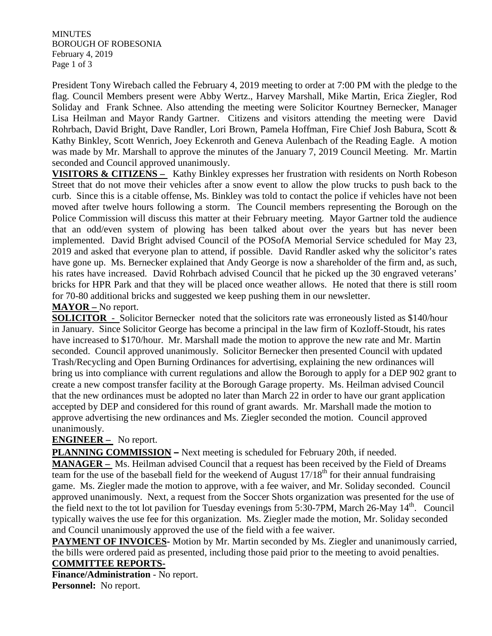**MINUTES** BOROUGH OF ROBESONIA February 4, 2019 Page 1 of 3

President Tony Wirebach called the February 4, 2019 meeting to order at 7:00 PM with the pledge to the flag. Council Members present were Abby Wertz., Harvey Marshall, Mike Martin, Erica Ziegler, Rod Soliday and Frank Schnee. Also attending the meeting were Solicitor Kourtney Bernecker, Manager Lisa Heilman and Mayor Randy Gartner. Citizens and visitors attending the meeting were David Rohrbach, David Bright, Dave Randler, Lori Brown, Pamela Hoffman, Fire Chief Josh Babura, Scott & Kathy Binkley, Scott Wenrich, Joey Eckenroth and Geneva Aulenbach of the Reading Eagle. A motion was made by Mr. Marshall to approve the minutes of the January 7, 2019 Council Meeting. Mr. Martin seconded and Council approved unanimously.

**VISITORS & CITIZENS –** Kathy Binkley expresses her frustration with residents on North Robeson Street that do not move their vehicles after a snow event to allow the plow trucks to push back to the curb. Since this is a citable offense, Ms. Binkley was told to contact the police if vehicles have not been moved after twelve hours following a storm. The Council members representing the Borough on the Police Commission will discuss this matter at their February meeting. Mayor Gartner told the audience that an odd/even system of plowing has been talked about over the years but has never been implemented. David Bright advised Council of the POSofA Memorial Service scheduled for May 23, 2019 and asked that everyone plan to attend, if possible. David Randler asked why the solicitor's rates have gone up. Ms. Bernecker explained that Andy George is now a shareholder of the firm and, as such, his rates have increased. David Rohrbach advised Council that he picked up the 30 engraved veterans' bricks for HPR Park and that they will be placed once weather allows. He noted that there is still room for 70-80 additional bricks and suggested we keep pushing them in our newsletter.

**MAYOR –** No report.

**SOLICITOR** - Solicitor Bernecker noted that the solicitors rate was erroneously listed as \$140/hour in January. Since Solicitor George has become a principal in the law firm of Kozloff-Stoudt, his rates have increased to \$170/hour. Mr. Marshall made the motion to approve the new rate and Mr. Martin seconded. Council approved unanimously. Solicitor Bernecker then presented Council with updated Trash/Recycling and Open Burning Ordinances for advertising, explaining the new ordinances will bring us into compliance with current regulations and allow the Borough to apply for a DEP 902 grant to create a new compost transfer facility at the Borough Garage property. Ms. Heilman advised Council that the new ordinances must be adopted no later than March 22 in order to have our grant application accepted by DEP and considered for this round of grant awards. Mr. Marshall made the motion to approve advertising the new ordinances and Ms. Ziegler seconded the motion. Council approved unanimously.

## **ENGINEER –** No report.

**PLANNING COMMISSION –** Next meeting is scheduled for February 20th, if needed.

**MANAGER –** Ms. Heilman advised Council that a request has been received by the Field of Dreams team for the use of the baseball field for the weekend of August  $17/18<sup>th</sup>$  for their annual fundraising game. Ms. Ziegler made the motion to approve, with a fee waiver, and Mr. Soliday seconded. Council approved unanimously. Next, a request from the Soccer Shots organization was presented for the use of the field next to the tot lot pavilion for Tuesday evenings from 5:30-7PM, March 26-May  $14<sup>th</sup>$ . Council typically waives the use fee for this organization. Ms. Ziegler made the motion, Mr. Soliday seconded and Council unanimously approved the use of the field with a fee waiver.

**PAYMENT OF INVOICES** Motion by Mr. Martin seconded by Ms. Ziegler and unanimously carried, the bills were ordered paid as presented, including those paid prior to the meeting to avoid penalties.

## **COMMITTEE REPORTS-**

**Finance/Administration** - No report. **Personnel:** No report.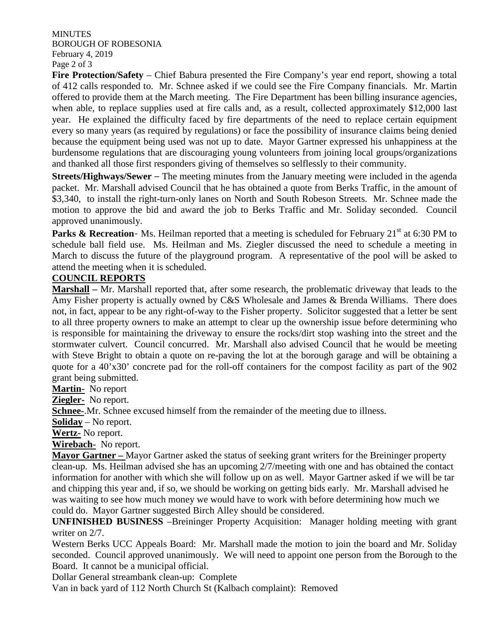**MINUTES** BOROUGH OF ROBESONIA February 4, 2019 Page 2 of 3

**Fire Protection/Safety** – Chief Babura presented the Fire Company's year end report, showing a total of 412 calls responded to. Mr. Schnee asked if we could see the Fire Company financials. Mr. Martin offered to provide them at the March meeting. The Fire Department has been billing insurance agencies, when able, to replace supplies used at fire calls and, as a result, collected approximately \$12,000 last year. He explained the difficulty faced by fire departments of the need to replace certain equipment every so many years (as required by regulations) or face the possibility of insurance claims being denied because the equipment being used was not up to date. Mayor Gartner expressed his unhappiness at the burdensome regulations that are discouraging young volunteers from joining local groups/organizations and thanked all those first responders giving of themselves so selflessly to their community.

**Streets/Highways/Sewer** – The meeting minutes from the January meeting were included in the agenda packet. Mr. Marshall advised Council that he has obtained a quote from Berks Traffic, in the amount of \$3,340, to install the right-turn-only lanes on North and South Robeson Streets. Mr. Schnee made the motion to approve the bid and award the job to Berks Traffic and Mr. Soliday seconded. Council approved unanimously.

**Parks & Recreation-** Ms. Heilman reported that a meeting is scheduled for February 21<sup>st</sup> at 6:30 PM to schedule ball field use. Ms. Heilman and Ms. Ziegler discussed the need to schedule a meeting in March to discuss the future of the playground program. A representative of the pool will be asked to attend the meeting when it is scheduled.

## **COUNCIL REPORTS**

**Marshall –** Mr. Marshall reported that, after some research, the problematic driveway that leads to the Amy Fisher property is actually owned by C&S Wholesale and James & Brenda Williams. There does not, in fact, appear to be any right-of-way to the Fisher property. Solicitor suggested that a letter be sent to all three property owners to make an attempt to clear up the ownership issue before determining who is responsible for maintaining the driveway to ensure the rocks/dirt stop washing into the street and the stormwater culvert. Council concurred. Mr. Marshall also advised Council that he would be meeting with Steve Bright to obtain a quote on re-paving the lot at the borough garage and will be obtaining a quote for a 40'x30' concrete pad for the roll-off containers for the compost facility as part of the 902 grant being submitted.

**Martin-** No report

**Ziegler-** No report.

**Schnee-**.Mr. Schnee excused himself from the remainder of the meeting due to illness.

**Soliday** – No report.

**Wertz-** No report.

**Wirebach-** No report.

**Mayor Gartner –** Mayor Gartner asked the status of seeking grant writers for the Breininger property clean-up. Ms. Heilman advised she has an upcoming 2/7/meeting with one and has obtained the contact information for another with which she will follow up on as well. Mayor Gartner asked if we will be tar and chipping this year and, if so, we should be working on getting bids early. Mr. Marshall advised he was waiting to see how much money we would have to work with before determining how much we could do. Mayor Gartner suggested Birch Alley should be considered.

**UNFINISHED BUSINESS** –Breininger Property Acquisition: Manager holding meeting with grant writer on 2/7.

Western Berks UCC Appeals Board: Mr. Marshall made the motion to join the board and Mr. Soliday seconded. Council approved unanimously. We will need to appoint one person from the Borough to the Board. It cannot be a municipal official.

Dollar General streambank clean-up: Complete

Van in back yard of 112 North Church St (Kalbach complaint): Removed